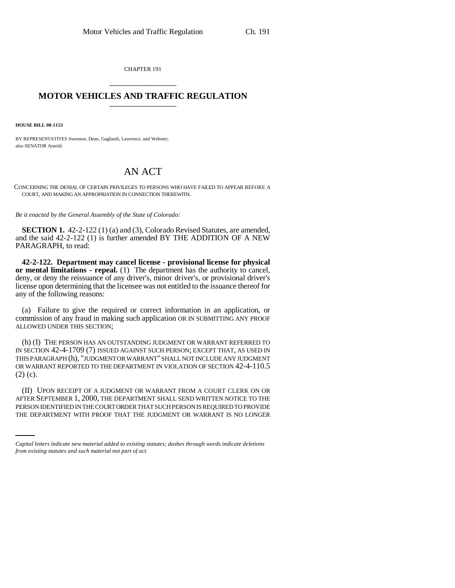CHAPTER 191 \_\_\_\_\_\_\_\_\_\_\_\_\_\_\_

## **MOTOR VEHICLES AND TRAFFIC REGULATION** \_\_\_\_\_\_\_\_\_\_\_\_\_\_\_

**HOUSE BILL 00-1153**

BY REPRESENTATIVES Swenson, Dean, Gagliardi, Lawrence, and Webster; also SENATOR Arnold.

## AN ACT

CONCERNING THE DENIAL OF CERTAIN PRIVILEGES TO PERSONS WHO HAVE FAILED TO APPEAR BEFORE A COURT, AND MAKING AN APPROPRIATION IN CONNECTION THEREWITH.

*Be it enacted by the General Assembly of the State of Colorado:*

**SECTION 1.** 42-2-122 (1) (a) and (3), Colorado Revised Statutes, are amended, and the said 42-2-122 (1) is further amended BY THE ADDITION OF A NEW PARAGRAPH, to read:

**42-2-122. Department may cancel license - provisional license for physical or mental limitations - repeal.** (1) The department has the authority to cancel, deny, or deny the reissuance of any driver's, minor driver's, or provisional driver's license upon determining that the licensee was not entitled to the issuance thereof for any of the following reasons:

(a) Failure to give the required or correct information in an application, or commission of any fraud in making such application OR IN SUBMITTING ANY PROOF ALLOWED UNDER THIS SECTION;

(h) (I) THE PERSON HAS AN OUTSTANDING JUDGMENT OR WARRANT REFERRED TO IN SECTION 42-4-1709 (7) ISSUED AGAINST SUCH PERSON; EXCEPT THAT, AS USED IN THIS PARAGRAPH (h), "JUDGMENT OR WARRANT" SHALL NOT INCLUDE ANY JUDGMENT OR WARRANT REPORTED TO THE DEPARTMENT IN VIOLATION OF SECTION 42-4-110.5 (2) (c).

AFTER SEPTEMBER 1, 2000, THE DEPARTMENT SHALL SEND WRITTEN NOTICE TO THE (II) UPON RECEIPT OF A JUDGMENT OR WARRANT FROM A COURT CLERK ON OR PERSON IDENTIFIED IN THE COURT ORDER THAT SUCH PERSON IS REQUIRED TO PROVIDE THE DEPARTMENT WITH PROOF THAT THE JUDGMENT OR WARRANT IS NO LONGER

*Capital letters indicate new material added to existing statutes; dashes through words indicate deletions from existing statutes and such material not part of act.*